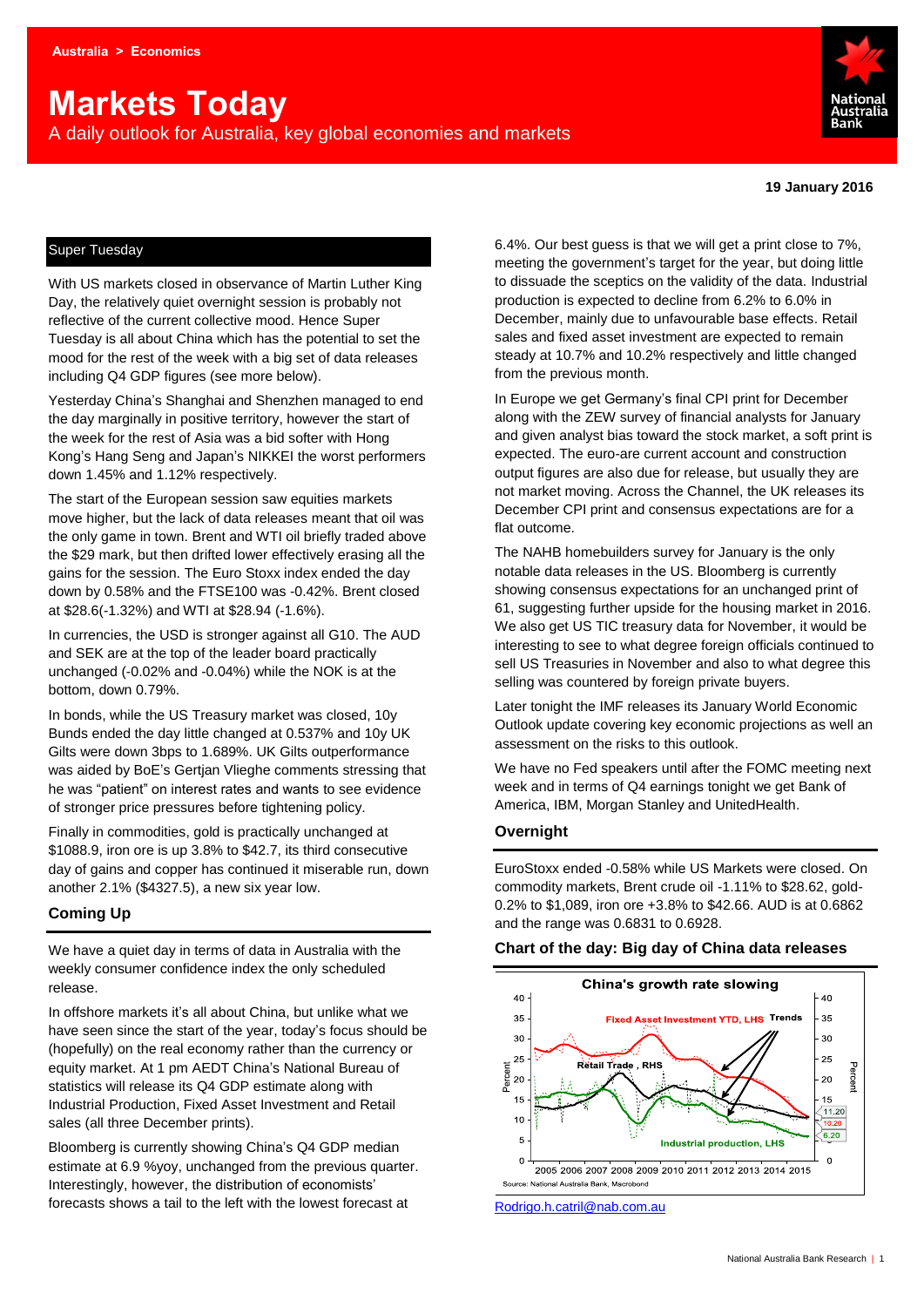# **Markets Today**

A daily outlook for Australia, key global economies and markets



**19 January 2016**

### Super Tuesday

With US markets closed in observance of Martin Luther King Day, the relatively quiet overnight session is probably not reflective of the current collective mood. Hence Super Tuesday is all about China which has the potential to set the mood for the rest of the week with a big set of data releases including Q4 GDP figures (see more below).

Yesterday China's Shanghai and Shenzhen managed to end the day marginally in positive territory, however the start of the week for the rest of Asia was a bid softer with Hong Kong's Hang Seng and Japan's NIKKEI the worst performers down 1.45% and 1.12% respectively.

The start of the European session saw equities markets move higher, but the lack of data releases meant that oil was the only game in town. Brent and WTI oil briefly traded above the \$29 mark, but then drifted lower effectively erasing all the gains for the session. The Euro Stoxx index ended the day down by 0.58% and the FTSE100 was -0.42%. Brent closed at \$28.6(-1.32%) and WTI at \$28.94 (-1.6%).

In currencies, the USD is stronger against all G10. The AUD and SEK are at the top of the leader board practically unchanged (-0.02% and -0.04%) while the NOK is at the bottom, down 0.79%.

In bonds, while the US Treasury market was closed, 10y Bunds ended the day little changed at 0.537% and 10y UK Gilts were down 3bps to 1.689%. UK Gilts outperformance was aided by BoE's Gertjan Vlieghe comments stressing that he was "patient" on interest rates and wants to see evidence of stronger price pressures before tightening policy.

Finally in commodities, gold is practically unchanged at \$1088.9, iron ore is up 3.8% to \$42.7, its third consecutive day of gains and copper has continued it miserable run, down another 2.1% (\$4327.5), a new six year low.

## **Coming Up**

We have a quiet day in terms of data in Australia with the weekly consumer confidence index the only scheduled release.

In offshore markets it's all about China, but unlike what we have seen since the start of the year, today's focus should be (hopefully) on the real economy rather than the currency or equity market. At 1 pm AEDT China's National Bureau of statistics will release its Q4 GDP estimate along with Industrial Production, Fixed Asset Investment and Retail sales (all three December prints).

Bloomberg is currently showing China's Q4 GDP median estimate at 6.9 %yoy, unchanged from the previous quarter. Interestingly, however, the distribution of economists' forecasts shows a tail to the left with the lowest forecast at

6.4%. Our best guess is that we will get a print close to 7%, meeting the government's target for the year, but doing little to dissuade the sceptics on the validity of the data. Industrial production is expected to decline from 6.2% to 6.0% in December, mainly due to unfavourable base effects. Retail sales and fixed asset investment are expected to remain steady at 10.7% and 10.2% respectively and little changed from the previous month.

In Europe we get Germany's final CPI print for December along with the ZEW survey of financial analysts for January and given analyst bias toward the stock market, a soft print is expected. The euro-are current account and construction output figures are also due for release, but usually they are not market moving. Across the Channel, the UK releases its December CPI print and consensus expectations are for a flat outcome.

The NAHB homebuilders survey for January is the only notable data releases in the US. Bloomberg is currently showing consensus expectations for an unchanged print of 61, suggesting further upside for the housing market in 2016. We also get US TIC treasury data for November, it would be interesting to see to what degree foreign officials continued to sell US Treasuries in November and also to what degree this selling was countered by foreign private buyers.

Later tonight the IMF releases its January World Economic Outlook update covering key economic projections as well an assessment on the risks to this outlook.

We have no Fed speakers until after the FOMC meeting next week and in terms of Q4 earnings tonight we get Bank of America, IBM, Morgan Stanley and UnitedHealth.

#### **Overnight**

EuroStoxx ended -0.58% while US Markets were closed. On commodity markets, Brent crude oil -1.11% to \$28.62, gold-0.2% to \$1,089, iron ore +3.8% to \$42.66. AUD is at 0.6862 and the range was 0.6831 to 0.6928.



[Rodrigo.h.catril@nab.com.au](mailto:Rodrigo.h.catril@nab.com.au)

#### **Chart of the day: Big day of China data releases**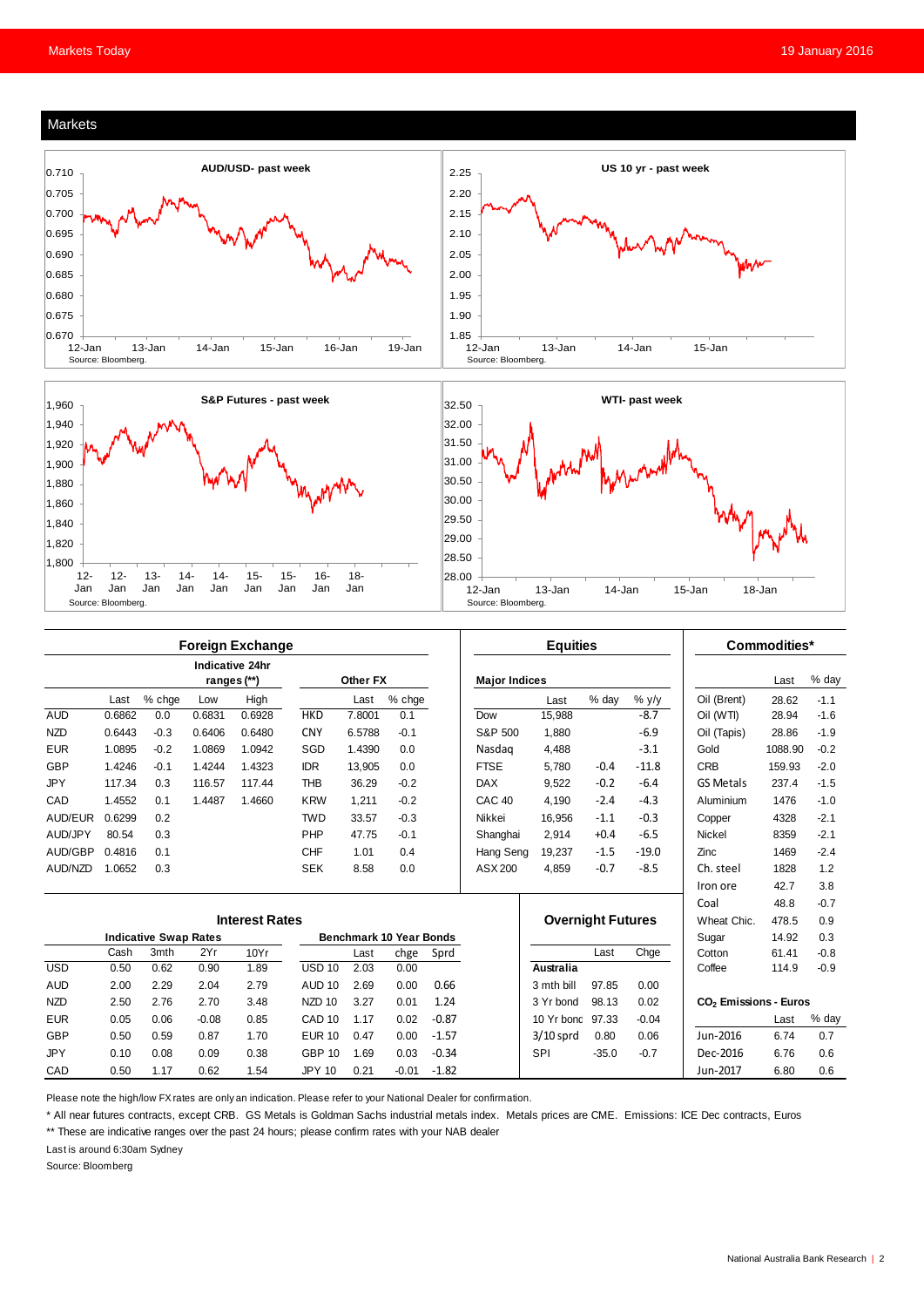#### Markets





|                       |                              |        |             | <b>Foreign Exchange</b> |                                |          |         |         |                          | <b>Equities</b> |         |             |                                   | Commodities* |        |
|-----------------------|------------------------------|--------|-------------|-------------------------|--------------------------------|----------|---------|---------|--------------------------|-----------------|---------|-------------|-----------------------------------|--------------|--------|
|                       |                              |        | ranges (**) | Indicative 24hr         |                                | Other FX |         |         | <b>Major Indices</b>     |                 |         |             |                                   | Last         | % day  |
|                       | Last                         | % chge | Low         | High                    |                                | Last     | % chge  |         |                          | Last            | % day   | $%$ y/y     | Oil (Brent)                       | 28.62        | $-1.1$ |
| <b>AUD</b>            | 0.6862                       | 0.0    | 0.6831      | 0.6928                  | <b>HKD</b>                     | 7.8001   | 0.1     |         | Dow                      | 15.988          |         | $-8.7$      | Oil (WTI)                         | 28.94        | $-1.6$ |
| <b>NZD</b>            | 0.6443                       | $-0.3$ | 0.6406      | 0.6480                  | <b>CNY</b>                     | 6.5788   | $-0.1$  |         | S&P 500                  | 1,880           |         | $-6.9$      | Oil (Tapis)                       | 28.86        | $-1.9$ |
| <b>EUR</b>            | 1.0895                       | $-0.2$ | 1.0869      | 1.0942                  | SGD                            | 1.4390   | 0.0     |         | Nasdag                   | 4,488           |         | $-3.1$      | Gold                              | 1088.90      | $-0.2$ |
| GBP                   | 1.4246                       | $-0.1$ | 1.4244      | 1.4323                  | <b>IDR</b>                     | 13.905   | 0.0     |         | <b>FTSE</b>              | 5.780           | $-0.4$  | $-11.8$     | <b>CRB</b>                        | 159.93       | $-2.0$ |
| <b>JPY</b>            | 117.34                       | 0.3    | 116.57      | 117.44                  | <b>THB</b>                     | 36.29    | $-0.2$  |         | <b>DAX</b>               | 9,522           | $-0.2$  | $-6.4$      | <b>GS Metals</b>                  | 237.4        | $-1.5$ |
| CAD                   | 1.4552                       | 0.1    | 1.4487      | 1.4660                  | <b>KRW</b>                     | 1.211    | $-0.2$  |         | CAC <sub>40</sub>        | 4.190           | $-2.4$  | $-4.3$      | Aluminium                         | 1476         | $-1.0$ |
| AUD/EUR               | 0.6299                       | 0.2    |             |                         | <b>TWD</b>                     | 33.57    | $-0.3$  |         | Nikkei                   | 16,956          | $-1.1$  | $-0.3$      | Copper                            | 4328         | $-2.1$ |
| AUD/JPY               | 80.54                        | 0.3    |             |                         | PHP                            | 47.75    | $-0.1$  |         | Shanghai                 | 2.914           | $+0.4$  | $-6.5$      | <b>Nickel</b>                     | 8359         | $-2.1$ |
| AUD/GBP               | 0.4816                       | 0.1    |             |                         | <b>CHF</b>                     | 1.01     | 0.4     |         | Hang Seng                | 19,237          | $-1.5$  | $-19.0$     | Zinc                              | 1469         | $-2.4$ |
| AUD/NZD               | 1.0652                       | 0.3    |             |                         | <b>SEK</b>                     | 8.58     | 0.0     |         | ASX 200                  | 4,859           | $-0.7$  | $-8.5$      | Ch. steel                         | 1828         | 1.2    |
|                       |                              |        |             |                         |                                |          |         |         |                          |                 |         |             | Iron ore                          | 42.7         | 3.8    |
|                       |                              |        |             |                         |                                |          |         |         |                          |                 |         |             | Coal                              | 48.8         | $-0.7$ |
| <b>Interest Rates</b> |                              |        |             |                         |                                |          |         |         | <b>Overnight Futures</b> |                 |         | Wheat Chic. | 478.5                             | 0.9          |        |
|                       | <b>Indicative Swap Rates</b> |        |             |                         | <b>Benchmark 10 Year Bonds</b> |          |         |         |                          |                 |         |             | Sugar                             | 14.92        | 0.3    |
|                       | Cash                         | 3mth   | 2Yr         | 10Yr                    |                                | Last     | chge    | Sprd    |                          |                 | Last    | Chge        | Cotton                            | 61.41        | $-0.8$ |
| <b>USD</b>            | 0.50                         | 0.62   | 0.90        | 1.89                    | <b>USD 10</b>                  | 2.03     | 0.00    |         |                          | Australia       |         |             | Coffee                            | 114.9        | $-0.9$ |
| <b>AUD</b>            | 2.00                         | 2.29   | 2.04        | 2.79                    | <b>AUD 10</b>                  | 2.69     | 0.00    | 0.66    |                          | 3 mth bill      | 97.85   | 0.00        |                                   |              |        |
| <b>NZD</b>            | 2.50                         | 2.76   | 2.70        | 3.48                    | NZD 10                         | 3.27     | 0.01    | 1.24    |                          | 3 Yr bond       | 98.13   | 0.02        | CO <sub>2</sub> Emissions - Euros |              |        |
| <b>EUR</b>            | 0.05                         | 0.06   | $-0.08$     | 0.85                    | CAD <sub>10</sub>              | 1.17     | 0.02    | $-0.87$ |                          | 10 Yr bond      | 97.33   | $-0.04$     |                                   | Last         | % day  |
| <b>GBP</b>            | 0.50                         | 0.59   | 0.87        | 1.70                    | <b>EUR 10</b>                  | 0.47     | 0.00    | $-1.57$ |                          | $3/10$ sprd     | 0.80    | 0.06        | Jun-2016                          | 6.74         | 0.7    |
| <b>JPY</b>            | 0.10                         | 0.08   | 0.09        | 0.38                    | <b>GBP 10</b>                  | 1.69     | 0.03    | $-0.34$ |                          | <b>SPI</b>      | $-35.0$ | $-0.7$      | Dec-2016                          | 6.76         | 0.6    |
| CAD                   | 0.50                         | 1.17   | 0.62        | 1.54                    | <b>JPY 10</b>                  | 0.21     | $-0.01$ | $-1.82$ |                          |                 |         |             | Jun-2017                          | 6.80         | 0.6    |

Please note the high/low FX rates are only an indication. Please refer to your National Dealer for confirmation.

\* All near futures contracts, except CRB. GS Metals is Goldman Sachs industrial metals index. Metals prices are CME. Emissions: ICE Dec contracts, Euros

\*\* These are indicative ranges over the past 24 hours; please confirm rates with your NAB dealer

Last is around 6:30am Sydney

Source: Bloomberg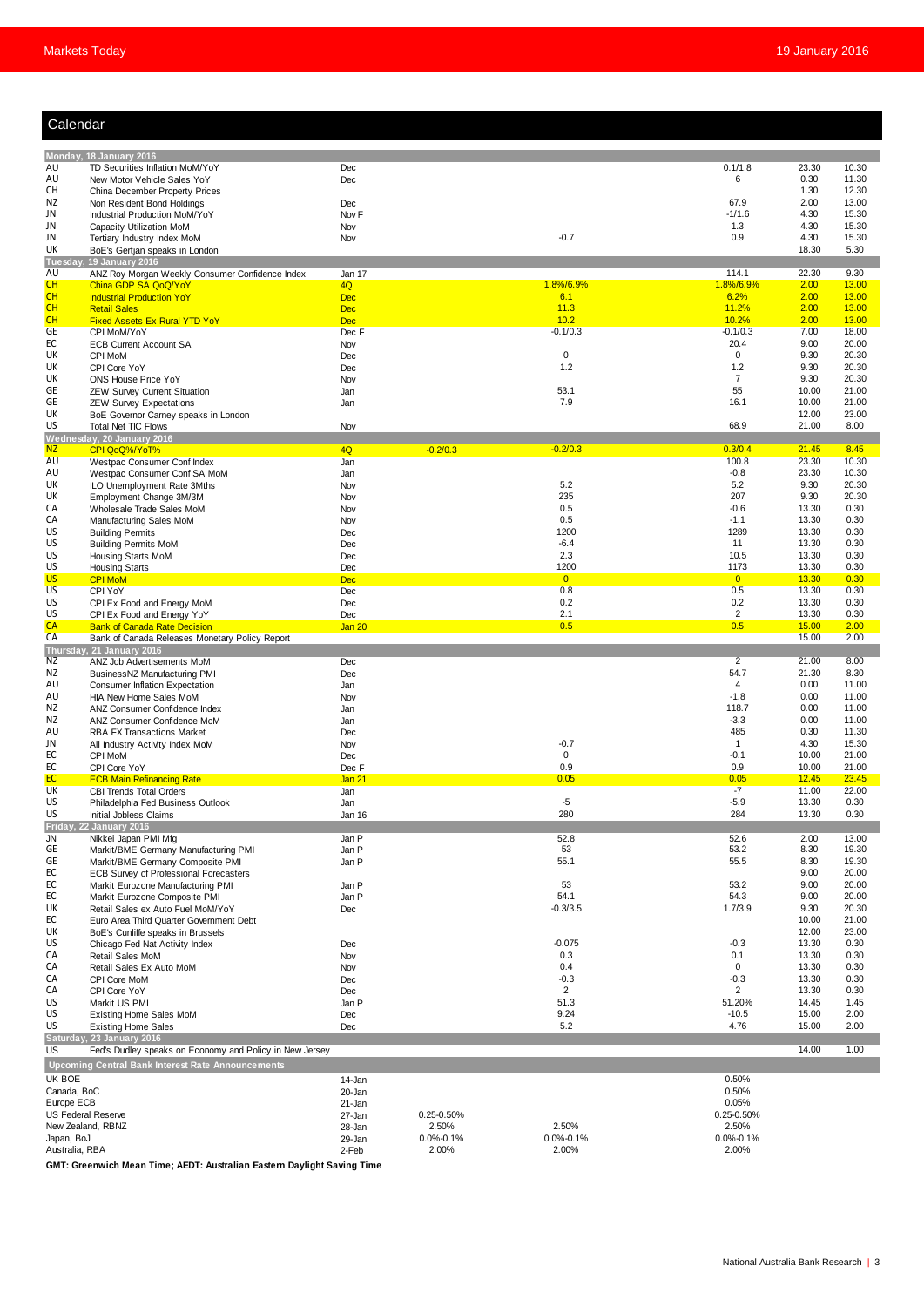| Calendar |  |
|----------|--|
|          |  |
|          |  |

| Calendar                                       |                                                                                       |                          |                     |                       |                           |                        |                       |
|------------------------------------------------|---------------------------------------------------------------------------------------|--------------------------|---------------------|-----------------------|---------------------------|------------------------|-----------------------|
|                                                |                                                                                       |                          |                     |                       |                           |                        |                       |
| AU                                             | Monday, 18 January 2016<br>TD Securities Inflation MoM/YoY                            | Dec                      |                     |                       | 0.1/1.8                   | 23.30                  | 10.30                 |
| AU                                             | New Motor Vehicle Sales YoY                                                           | Dec                      |                     |                       | 6                         | 0.30                   | 11.30                 |
| CН                                             | China December Property Prices                                                        |                          |                     |                       |                           | 1.30                   | 12.30                 |
| NZ<br>JN                                       | Non Resident Bond Holdings<br>Industrial Production MoM/YoY                           | Dec<br>Nov <sub>F</sub>  |                     |                       | 67.9<br>$-1/1.6$          | 2.00<br>4.30           | 13.00<br>15.30        |
| JN                                             | Capacity Utilization MoM                                                              | Nov                      |                     |                       | 1.3                       | 4.30                   | 15.30                 |
| JN                                             | Tertiary Industry Index MoM                                                           | Nov                      |                     | $-0.7$                | 0.9                       | 4.30                   | 15.30                 |
| UK                                             | BoE's Gertjan speaks in London<br>Tuesday, 19 January 2016                            |                          |                     |                       |                           | 18.30                  | 5.30                  |
| AU                                             | ANZ Roy Morgan Weekly Consumer Confidence Index                                       | Jan 17                   |                     |                       | 114.1                     | 22.30                  | 9.30                  |
| CH                                             | China GDP SA QoQ/YoY                                                                  | 4Q                       |                     | 1.8%/6.9%             | 1.8%/6.9%<br>6.2%         | 2.00                   | 13.00                 |
| CH<br>CH                                       | <b>Industrial Production YoY</b><br><b>Retail Sales</b>                               | <b>Dec</b><br><b>Dec</b> |                     | 6.1<br>11.3           | 11.2%                     | 2.00<br>2.00           | 13.00<br>13.00        |
| CH                                             | <b>Fixed Assets Ex Rural YTD YoY</b>                                                  | <b>Dec</b>               |                     | 10.2                  | 10.2%                     | 2.00                   | 13.00                 |
| <b>GE</b>                                      | CPI MoM/YoY                                                                           | Dec F                    |                     | $-0.1/0.3$            | $-0.1/0.3$                | 7.00                   | 18.00                 |
| ЕC<br>UK                                       | <b>ECB Current Account SA</b><br>CPI MoM                                              | Nov<br>Dec               |                     | $\mathbf 0$           | 20.4<br>$\mathbf 0$       | 9.00<br>9.30           | 20.00<br>20.30        |
| UK                                             | CPI Core YoY                                                                          | Dec                      |                     | 1.2                   | 1.2                       | 9.30                   | 20.30                 |
| UK                                             | ONS House Price YoY                                                                   | Nov                      |                     |                       | $\overline{7}$            | 9.30                   | 20.30                 |
| GE<br>GE                                       | ZEW Survey Current Situation<br><b>ZEW Survey Expectations</b>                        | Jan<br>Jan               |                     | 53.1<br>7.9           | 55<br>16.1                | 10.00<br>10.00         | 21.00<br>21.00        |
| UK                                             | BoE Governor Carney speaks in London                                                  |                          |                     |                       |                           | 12.00                  | 23.00                 |
| US                                             | Total Net TIC Flows                                                                   | Nov                      |                     |                       | 68.9                      | 21.00                  | 8.00                  |
| <b>NZ</b>                                      | Wednesday, 20 January 2016<br>CPI QoQ%/YoT%                                           | 4Q                       | $-0.2/0.3$          | $-0.2/0.3$            | 0.3/0.4                   | 21.45                  | 8.45                  |
| AU                                             | Westpac Consumer Conf Index                                                           | Jan                      |                     |                       | 100.8                     | 23.30                  | 10.30                 |
| AU                                             | Westpac Consumer Conf SA MoM                                                          | Jan                      |                     |                       | $-0.8$                    | 23.30                  | 10.30                 |
| UK<br>UK                                       | ILO Unemployment Rate 3Mths<br>Employment Change 3M/3M                                | Nov<br>Nov               |                     | 5.2<br>235            | 5.2<br>207                | 9.30<br>9.30           | 20.30<br>20.30        |
| СA                                             | Wholesale Trade Sales MoM                                                             | Nov                      |                     | 0.5                   | $-0.6$                    | 13.30                  | 0.30                  |
| СA                                             | Manufacturing Sales MoM                                                               | Nov                      |                     | 0.5                   | $-1.1$                    | 13.30                  | 0.30                  |
| US<br>US                                       | <b>Building Permits</b><br><b>Building Permits MoM</b>                                | Dec<br>Dec               |                     | 1200<br>$-6.4$        | 1289<br>11                | 13.30<br>13.30         | 0.30<br>0.30          |
| US                                             | Housing Starts MoM                                                                    | Dec                      |                     | 2.3                   | 10.5                      | 13.30                  | 0.30                  |
| US                                             | <b>Housing Starts</b>                                                                 | Dec                      |                     | 1200                  | 1173                      | 13.30                  | 0.30                  |
| <b>US</b><br>US                                | <b>CPI MoM</b><br>CPI YoY                                                             | <b>Dec</b><br>Dec        |                     | $\overline{0}$<br>0.8 | $\overline{0}$<br>0.5     | 13.30<br>13.30         | 0.30<br>0.30          |
| US                                             | CPI Ex Food and Energy MoM                                                            | Dec                      |                     | 0.2                   | 0.2                       | 13.30                  | 0.30                  |
| US                                             | CPI Ex Food and Energy YoY                                                            | Dec                      |                     | 2.1                   | $\overline{\mathbf{c}}$   | 13.30                  | 0.30                  |
| <b>CA</b><br>CA                                | <b>Bank of Canada Rate Decision</b><br>Bank of Canada Releases Monetary Policy Report | Jan 20                   |                     | 0.5                   | 0.5                       | 15.00<br>15.00         | 2.00<br>2.00          |
|                                                | Thursday, 21 January 2016                                                             |                          |                     |                       |                           |                        |                       |
| NZ                                             | ANZ Job Advertisements MoM                                                            | <b>Dec</b>               |                     |                       | $\overline{2}$            | 21.00                  | 8.00                  |
| ΝZ<br>AU                                       | BusinessNZ Manufacturing PMI<br><b>Consumer Inflation Expectation</b>                 | Dec<br>Jan               |                     |                       | 54.7<br>$\overline{4}$    | 21.30<br>0.00          | 8.30<br>11.00         |
| AU                                             | HIA New Home Sales MoM                                                                | Nov                      |                     |                       | $-1.8$                    | 0.00                   | 11.00                 |
| ΝZ                                             | ANZ Consumer Confidence Index                                                         | Jan                      |                     |                       | 118.7                     | 0.00                   | 11.00                 |
| ΝZ<br>AU                                       | ANZ Consumer Confidence MoM<br><b>RBA FX Transactions Market</b>                      | Jan<br>Dec               |                     |                       | $-3.3$<br>485             | 0.00<br>0.30           | 11.00<br>11.30        |
| JN                                             | All Industry Activity Index MoM                                                       | Nov                      |                     | $-0.7$                | $\mathbf{1}$              | 4.30                   | 15.30                 |
| ЕC                                             | CPI MoM                                                                               | Dec                      |                     | $\mathbf 0$           | $-0.1$                    | 10.00                  | 21.00                 |
| ЕC<br>EC.                                      | CPI Core YoY                                                                          | Dec F                    |                     | 0.9                   | 0.9<br><u><b>U.U5</b></u> | 10.00                  | 21.00                 |
| <b>UK</b>                                      | <b>ECB Main Refinancing Rate</b><br><b>CBI Trends Total Orders</b>                    | <u>Jan 21</u><br>Jan     |                     | <u>U.U5</u>           | $-7$                      | <u>12.45 </u><br>11.00 | <u>23.45</u><br>22.00 |
| US                                             | Philadelphia Fed Business Outlook                                                     | Jan                      |                     | $-5$                  | $-5.9$                    | 13.30                  | 0.30                  |
| US                                             | Initial Jobless Claims<br>Friday, 22 January 2016                                     | Jan 16                   |                     | 280                   | 284                       | 13.30                  | 0.30                  |
| JN                                             | Nikkei Japan PMI Mfg                                                                  | Jan P                    |                     | 52.8                  | 52.6                      | 2.00                   | 13.00                 |
| GE                                             | Markit/BME Germany Manufacturing PMI                                                  | Jan P                    |                     | 53                    | 53.2                      | 8.30                   | 19.30                 |
| GE<br>EC                                       | Markit/BME Germany Composite PMI<br><b>ECB Survey of Professional Forecasters</b>     | Jan P                    |                     | 55.1                  | 55.5                      | 8.30<br>9.00           | 19.30<br>20.00        |
| ЕC                                             | Markit Eurozone Manufacturing PMI                                                     | Jan P                    |                     | 53                    | 53.2                      | 9.00                   | 20.00                 |
| ЕC                                             | Markit Eurozone Composite PMI                                                         | Jan P                    |                     | 54.1                  | 54.3                      | 9.00                   | 20.00                 |
| UK<br>EC                                       | Retail Sales ex Auto Fuel MoM/YoY<br>Euro Area Third Quarter Government Debt          | Dec                      |                     | $-0.3/3.5$            | 1.7/3.9                   | 9.30<br>10.00          | 20.30<br>21.00        |
| UK                                             | BoE's Cunliffe speaks in Brussels                                                     |                          |                     |                       |                           | 12.00                  | 23.00                 |
| US                                             | Chicago Fed Nat Activity Index                                                        | Dec                      |                     | $-0.075$              | $-0.3$                    | 13.30                  | 0.30                  |
| CA<br>CA                                       | <b>Retail Sales MoM</b><br>Retail Sales Ex Auto MoM                                   | Nov<br>Nov               |                     | 0.3<br>0.4            | 0.1<br>0                  | 13.30<br>13.30         | 0.30<br>0.30          |
| CA                                             | CPI Core MoM                                                                          | Dec                      |                     | $-0.3$                | $-0.3$                    | 13.30                  | 0.30                  |
| CA                                             | CPI Core YoY                                                                          | Dec                      |                     | $\overline{2}$        | 2                         | 13.30                  | 0.30                  |
| US<br>US                                       | Markit US PMI<br>Existing Home Sales MoM                                              | Jan P<br>Dec             |                     | 51.3<br>9.24          | 51.20%<br>$-10.5$         | 14.45<br>15.00         | 1.45<br>2.00          |
| US                                             | <b>Existing Home Sales</b>                                                            | Dec                      |                     | 5.2                   | 4.76                      | 15.00                  | 2.00                  |
|                                                | Saturday, 23 January 2016                                                             |                          |                     |                       |                           |                        |                       |
| <b>US</b>                                      | Fed's Dudley speaks on Economy and Policy in New Jersey                               |                          |                     |                       |                           | 14.00                  | 1.00                  |
| UK BOE                                         | <b>Upcoming Central Bank Interest Rate Announcements</b>                              | 14-Jan                   |                     |                       | 0.50%                     |                        |                       |
| Canada, BoC                                    |                                                                                       | 20-Jan                   |                     |                       | 0.50%                     |                        |                       |
| Europe ECB                                     |                                                                                       | 21-Jan                   |                     |                       | 0.05%                     |                        |                       |
| <b>US Federal Reserve</b><br>New Zealand, RBNZ |                                                                                       | 27-Jan<br>28-Jan         | 0.25-0.50%<br>2.50% | 2.50%                 | 0.25-0.50%<br>2.50%       |                        |                       |
| Japan, BoJ                                     |                                                                                       | 29-Jan                   | $0.0\% - 0.1\%$     | $0.0\% - 0.1\%$       | $0.0\% - 0.1\%$           |                        |                       |
| Australia, RBA                                 |                                                                                       | 2-Feb                    | 2.00%               | 2.00%                 | 2.00%                     |                        |                       |

**GMT: Greenwich Mean Time; AEDT: Australian Eastern Daylight Saving Time**